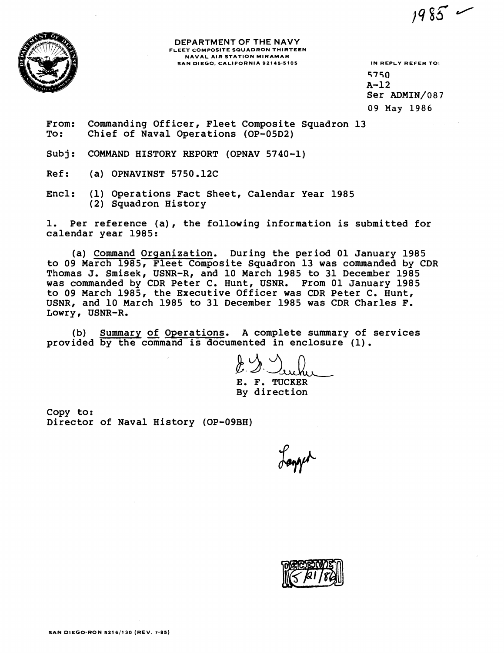**DEPARTMENT OF THE NAVY FLEET COMPOSITE SQUADRON THIRTEEN NAVAL AIR STATION MIRAMAR**  SAN DIEGO, CALIFORNIA 92145-5105 **IN REPLY REFER TO:** 

**5750 A-12 Ser ADMIN/087 09 May 1986** 

 $1985 -$ 

**From: Commanding Officer, Fleet Composite Squadron 13 To: Chief of Naval Operations (OP-05D2)** 

**Subj: COMMAND HISTORY REPORT (OPNAV 5740-1)** 

**Ref** : **(a) OPNAVINST 5750.12C** 

**Encl: (1) Operations Fact Sheet, Calendar Year 1985 (2) Squadron History** 

**1. Per reference (a), the following information is submitted for calendar year 1985:** 

**(a) Command Organization. During the period 01 January 1985 to 09 March 1985, Fleet Composite Squadron 13 was commanded by CDR Thomas J. Smisek, USNR-R, and 10 March 1985 to 31 December 1985 was commanded by CDR Peter C. Hunt, USNR. From 01 January 1985 to 09 March 1985, the Executive Officer was CDR Peter C. Hunt, USNR, and 10 March 1985 to 31 December 1985 was CDR Charles F. Lowry, USNR-R.** 

**(b) Summary of Operations. A complete summary of services provided by the command is documented in enclosure (1).** 

**E. F. TUCKER By direction** 

**Copy to: Director of Naval History (OP-09BH)** 

mpt

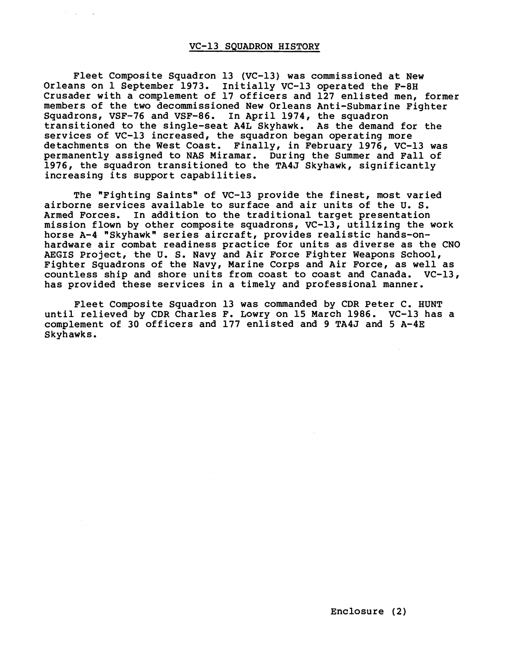## **VC-13 SQUADRON HISTORY**

 $\sigma_{\rm c}$  and  $\sigma_{\rm c}$  and  $\sigma_{\rm c}$ 

**Fleet Composite Squadron 13 (VC-13) was commissioned at New Orleans on 1 September 1973. Initially VC-13 operated the F-8H Crusader with a complement of 17 officers and 127 enlisted men, former members of the two decommissioned New Orleans Anti-Submarine Fighter Squadrons, VSF-76 and VSF-86. In April 1974, the squadron transitioned to the single-seat A4L Skyhawk. As the demand for the services of VC-13 increased, the squadron began operating more detachments on the West Coast. Finally, in February 1976, VC-13 was permanently assigned to NAS Miramar. During the Summer and Fall of 1976, the squadron transitioned to the TA4J Skyhawk, significantly increasing its support capabilities.** 

The "Fighting Saints" of VC-13 provide the finest, most varied **airborne services available to surface and air units of the U. S. Armed Forces. In addition to the traditional target presentation mission flown by other composite squadrons, VC-13, utilizing the work horse A-4 "Skyhawk" series aircraft, provides realistic hands-onhardware air combat readiness practice for units as diverse as the CNO AEGIS Project, the U. S. Navy and Air Force Fighter Weapons School, Fighter Squadrons of the Navy, Marine Corps and Air Force, as well as countless ship and shore units from coast to coast and Canada. VC-13, has provided these services in a timely and professional manner.** 

**Fleet Composite Squadron 13 was commanded by CDR Peter C. HUNT until relieved by CDR Charles F. Lowry on 15 March 1986. VC-13 has a complement of 30 officers and 177 enlisted and 9 TA4J and 5 A-4E Skyhawks.**